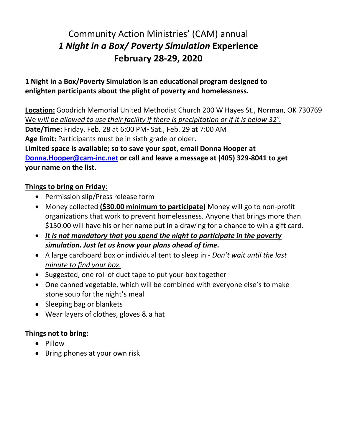## Community Action Ministries' (CAM) annual *1 Night in a Box/ Poverty Simulation* **Experience February 28-29, 2020**

## **1 Night in a Box/Poverty Simulation is an educational program designed to enlighten participants about the plight of poverty and homelessness.**

**Location:** Goodrich Memorial United Methodist Church 200 W Hayes St., Norman, OK 730769 We *will be allowed to use their facility if there is precipitation or if it is below 32°.* **Date/Time:** Friday, Feb. 28 at 6:00 PM**-** Sat., Feb. 29 at 7:00 AM **Age limit:** Participants must be in sixth grade or older. **Limited space is available; so to save your spot, email Donna Hooper at [Donna.Hooper@cam-inc.net](mailto:Donna.Hooper@cam-inc.net) or call and leave a message at (405) 329-8041 to get your name on the list.**

## **Things to bring on Friday**:

- Permission slip/Press release form
- Money collected **(\$30.00 minimum to participate)** Money will go to non-profit organizations that work to prevent homelessness. Anyone that brings more than \$150.00 will have his or her name put in a drawing for a chance to win a gift card.
- *It is not mandatory that you spend the night to participate in the poverty simulation. Just let us know your plans ahead of time.*
- A large cardboard box or individual tent to sleep in *Don't wait until the last minute to find your box.*
- Suggested, one roll of duct tape to put your box together
- One canned vegetable, which will be combined with everyone else's to make stone soup for the night's meal
- Sleeping bag or blankets
- Wear layers of clothes, gloves & a hat

## **Things not to bring:**

- Pillow
- Bring phones at your own risk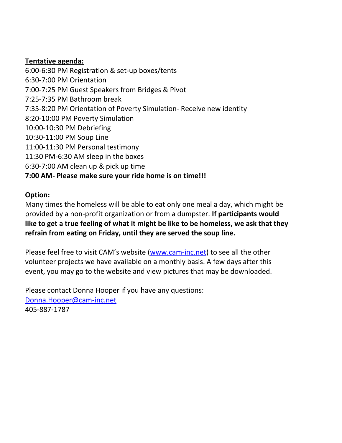## **Tentative agenda:**

6:00-6:30 PM Registration & set-up boxes/tents 6:30-7:00 PM Orientation 7:00-7:25 PM Guest Speakers from Bridges & Pivot 7:25-7:35 PM Bathroom break 7:35-8:20 PM Orientation of Poverty Simulation- Receive new identity 8:20-10:00 PM Poverty Simulation 10:00-10:30 PM Debriefing 10:30-11:00 PM Soup Line 11:00-11:30 PM Personal testimony 11:30 PM-6:30 AM sleep in the boxes 6:30-7:00 AM clean up & pick up time

## **7:00 AM- Please make sure your ride home is on time!!!**

## **Option:**

Many times the homeless will be able to eat only one meal a day, which might be provided by a non-profit organization or from a dumpster. **If participants would like to get a true feeling of what it might be like to be homeless, we ask that they refrain from eating on Friday, until they are served the soup line.**

Please feel free to visit CAM's website ([www.cam-inc.net\)](http://www.cam-inc.net/) to see all the other volunteer projects we have available on a monthly basis. A few days after this event, you may go to the website and view pictures that may be downloaded.

Please contact Donna Hooper if you have any questions: [Donna.Hooper@cam-inc.net](mailto:cam-inc@cox.net) 405-887-1787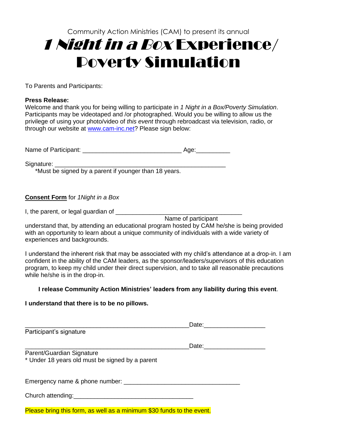# Community Action Ministries (CAM) to present its annual <sup>1</sup> Night in a Box Experience/ Poverty Simulation

To Parents and Participants:

### **Press Release:**

Welcome and thank you for being willing to participate in *1 Night in a Box/Poverty Simulation*. Participants may be videotaped and /or photographed. Would you be willing to allow us the privilege of using your photo/video of *this event* through rebroadcast via television, radio, or through our website at [www.cam-inc.net?](http://www.communityactionmissions.com/) Please sign below:

Name of Participant: \_\_\_\_\_\_\_\_\_\_\_\_\_\_\_\_\_\_\_\_\_\_\_\_\_\_\_\_\_ Age:\_\_\_\_\_\_\_\_\_\_

Signature:

\*Must be signed by a parent if younger than 18 years.

### **Consent Form** for *1Night in a Box*

I, the parent, or legal guardian of \_\_\_\_\_\_\_\_\_\_\_\_\_\_\_\_\_\_\_\_\_\_\_\_\_\_\_\_\_\_\_\_\_\_\_\_\_

Name of participant

understand that, by attending an educational program hosted by CAM he/she is being provided with an opportunity to learn about a unique community of individuals with a wide variety of experiences and backgrounds.

I understand the inherent risk that may be associated with my child's attendance at a drop-in. I am confident in the ability of the CAM leaders, as the sponsor/leaders/supervisors of this education program, to keep my child under their direct supervision, and to take all reasonable precautions while he/she is in the drop-in.

### **I release Community Action Ministries' leaders from any liability during this event**.

### **I understand that there is to be no pillows.**

|                                                                                          | Date: <u>________________</u> |  |
|------------------------------------------------------------------------------------------|-------------------------------|--|
| Participant's signature                                                                  |                               |  |
|                                                                                          |                               |  |
| Parent/Guardian Signature<br>* Under 18 years old must be signed by a parent             |                               |  |
|                                                                                          |                               |  |
| Church attending: Church attending:                                                      |                               |  |
| Discovered where the former are used to a consistence on COO from the the three consults |                               |  |

Please bring this form, as well as a minimum \$30 funds to the event.